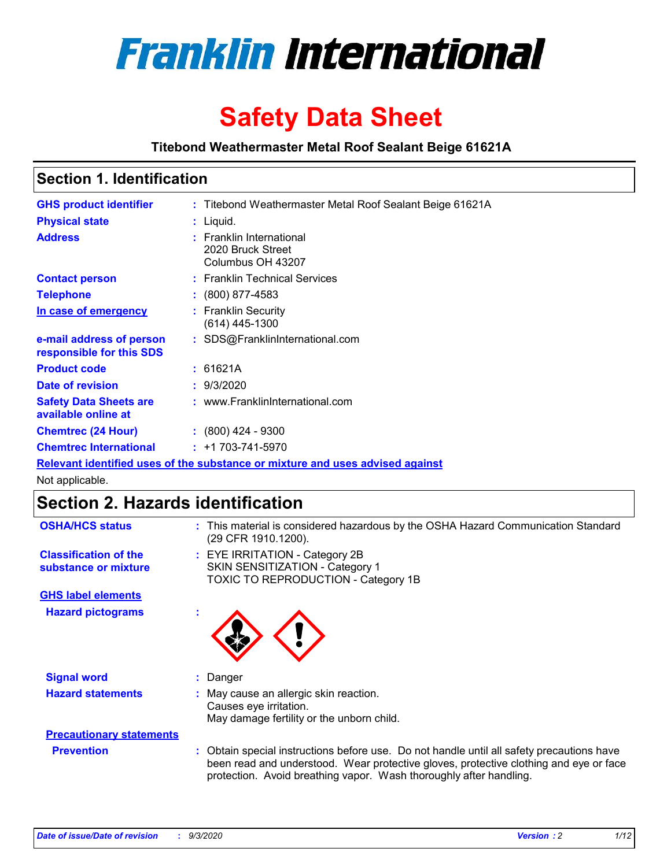

# **Safety Data Sheet**

**Titebond Weathermaster Metal Roof Sealant Beige 61621A**

### **Section 1. Identification**

| <b>GHS product identifier</b>                                                 |  | : Titebond Weathermaster Metal Roof Sealant Beige 61621A           |  |
|-------------------------------------------------------------------------------|--|--------------------------------------------------------------------|--|
| <b>Physical state</b>                                                         |  | : Liquid.                                                          |  |
| <b>Address</b>                                                                |  | : Franklin International<br>2020 Bruck Street<br>Columbus OH 43207 |  |
| <b>Contact person</b>                                                         |  | : Franklin Technical Services                                      |  |
| <b>Telephone</b>                                                              |  | $\div$ (800) 877-4583                                              |  |
| In case of emergency                                                          |  | : Franklin Security<br>$(614)$ 445-1300                            |  |
| e-mail address of person<br>responsible for this SDS                          |  | : SDS@FranklinInternational.com                                    |  |
| <b>Product code</b>                                                           |  | : 61621A                                                           |  |
| Date of revision                                                              |  | : 9/3/2020                                                         |  |
| <b>Safety Data Sheets are</b><br>available online at                          |  | : www.FranklinInternational.com                                    |  |
| <b>Chemtrec (24 Hour)</b>                                                     |  | $\div$ (800) 424 - 9300                                            |  |
| <b>Chemtrec International</b>                                                 |  | $: +1703 - 741 - 5970$                                             |  |
| Relevant identified uses of the substance or mixture and uses advised against |  |                                                                    |  |

Not applicable.

# **Section 2. Hazards identification**

| <b>OSHA/HCS status</b>                               |    | : This material is considered hazardous by the OSHA Hazard Communication Standard<br>(29 CFR 1910.1200).                                                                                                                                                 |
|------------------------------------------------------|----|----------------------------------------------------------------------------------------------------------------------------------------------------------------------------------------------------------------------------------------------------------|
| <b>Classification of the</b><br>substance or mixture |    | : EYE IRRITATION - Category 2B<br>SKIN SENSITIZATION - Category 1<br>TOXIC TO REPRODUCTION - Category 1B                                                                                                                                                 |
| <b>GHS label elements</b>                            |    |                                                                                                                                                                                                                                                          |
| <b>Hazard pictograms</b>                             | ×. |                                                                                                                                                                                                                                                          |
| <b>Signal word</b>                                   | ÷. | Danger                                                                                                                                                                                                                                                   |
| <b>Hazard statements</b>                             |    | May cause an allergic skin reaction.<br>Causes eye irritation.<br>May damage fertility or the unborn child.                                                                                                                                              |
| <b>Precautionary statements</b>                      |    |                                                                                                                                                                                                                                                          |
| <b>Prevention</b>                                    |    | : Obtain special instructions before use. Do not handle until all safety precautions have<br>been read and understood. Wear protective gloves, protective clothing and eye or face<br>protection. Avoid breathing vapor. Wash thoroughly after handling. |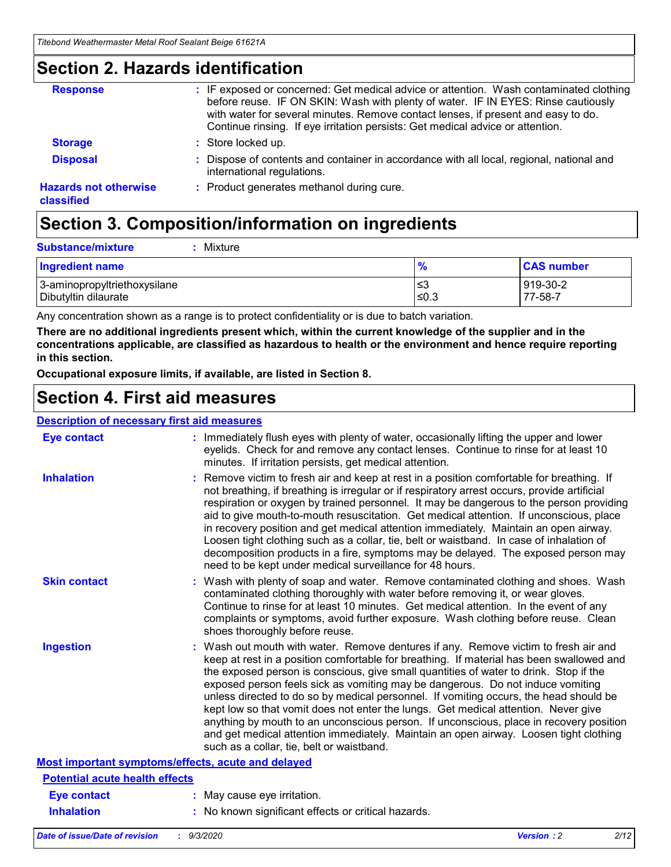### **Section 2. Hazards identification**

| <b>Response</b>                            | : IF exposed or concerned: Get medical advice or attention. Wash contaminated clothing<br>before reuse. IF ON SKIN: Wash with plenty of water. IF IN EYES: Rinse cautiously<br>with water for several minutes. Remove contact lenses, if present and easy to do.<br>Continue rinsing. If eye irritation persists: Get medical advice or attention. |
|--------------------------------------------|----------------------------------------------------------------------------------------------------------------------------------------------------------------------------------------------------------------------------------------------------------------------------------------------------------------------------------------------------|
| <b>Storage</b>                             | : Store locked up.                                                                                                                                                                                                                                                                                                                                 |
| <b>Disposal</b>                            | : Dispose of contents and container in accordance with all local, regional, national and<br>international regulations.                                                                                                                                                                                                                             |
| <b>Hazards not otherwise</b><br>classified | : Product generates methanol during cure.                                                                                                                                                                                                                                                                                                          |

# **Section 3. Composition/information on ingredients**

| <b>Substance/mixture</b> | Mixture |
|--------------------------|---------|
|                          |         |

| <b>Ingredient name</b>       | $\frac{9}{6}$ | <b>CAS number</b> |
|------------------------------|---------------|-------------------|
| 3-aminopropyltriethoxysilane | ՝≤3           | 919-30-2          |
| Dibutyltin dilaurate         | ∣≤0.3         | 77-58-7           |

Any concentration shown as a range is to protect confidentiality or is due to batch variation.

**There are no additional ingredients present which, within the current knowledge of the supplier and in the concentrations applicable, are classified as hazardous to health or the environment and hence require reporting in this section.**

**Occupational exposure limits, if available, are listed in Section 8.**

### **Section 4. First aid measures**

| <b>Description of necessary first aid measures</b> |                                                                                                                                                                                                                                                                                                                                                                                                                                                                                                                                                                                                                                                                                                                                                                           |
|----------------------------------------------------|---------------------------------------------------------------------------------------------------------------------------------------------------------------------------------------------------------------------------------------------------------------------------------------------------------------------------------------------------------------------------------------------------------------------------------------------------------------------------------------------------------------------------------------------------------------------------------------------------------------------------------------------------------------------------------------------------------------------------------------------------------------------------|
| <b>Eye contact</b>                                 | : Immediately flush eyes with plenty of water, occasionally lifting the upper and lower<br>eyelids. Check for and remove any contact lenses. Continue to rinse for at least 10<br>minutes. If irritation persists, get medical attention.                                                                                                                                                                                                                                                                                                                                                                                                                                                                                                                                 |
| <b>Inhalation</b>                                  | : Remove victim to fresh air and keep at rest in a position comfortable for breathing. If<br>not breathing, if breathing is irregular or if respiratory arrest occurs, provide artificial<br>respiration or oxygen by trained personnel. It may be dangerous to the person providing<br>aid to give mouth-to-mouth resuscitation. Get medical attention. If unconscious, place<br>in recovery position and get medical attention immediately. Maintain an open airway.<br>Loosen tight clothing such as a collar, tie, belt or waistband. In case of inhalation of<br>decomposition products in a fire, symptoms may be delayed. The exposed person may<br>need to be kept under medical surveillance for 48 hours.                                                       |
| <b>Skin contact</b>                                | : Wash with plenty of soap and water. Remove contaminated clothing and shoes. Wash<br>contaminated clothing thoroughly with water before removing it, or wear gloves.<br>Continue to rinse for at least 10 minutes. Get medical attention. In the event of any<br>complaints or symptoms, avoid further exposure. Wash clothing before reuse. Clean<br>shoes thoroughly before reuse.                                                                                                                                                                                                                                                                                                                                                                                     |
| <b>Ingestion</b>                                   | : Wash out mouth with water. Remove dentures if any. Remove victim to fresh air and<br>keep at rest in a position comfortable for breathing. If material has been swallowed and<br>the exposed person is conscious, give small quantities of water to drink. Stop if the<br>exposed person feels sick as vomiting may be dangerous. Do not induce vomiting<br>unless directed to do so by medical personnel. If vomiting occurs, the head should be<br>kept low so that vomit does not enter the lungs. Get medical attention. Never give<br>anything by mouth to an unconscious person. If unconscious, place in recovery position<br>and get medical attention immediately. Maintain an open airway. Loosen tight clothing<br>such as a collar, tie, belt or waistband. |
| Most important symptoms/effects, acute and delayed |                                                                                                                                                                                                                                                                                                                                                                                                                                                                                                                                                                                                                                                                                                                                                                           |
| <b>Potential acute health effects</b>              |                                                                                                                                                                                                                                                                                                                                                                                                                                                                                                                                                                                                                                                                                                                                                                           |
| <b>Eye contact</b>                                 | : May cause eye irritation.                                                                                                                                                                                                                                                                                                                                                                                                                                                                                                                                                                                                                                                                                                                                               |
| <b>Inhalation</b>                                  | : No known significant effects or critical hazards.                                                                                                                                                                                                                                                                                                                                                                                                                                                                                                                                                                                                                                                                                                                       |
|                                                    |                                                                                                                                                                                                                                                                                                                                                                                                                                                                                                                                                                                                                                                                                                                                                                           |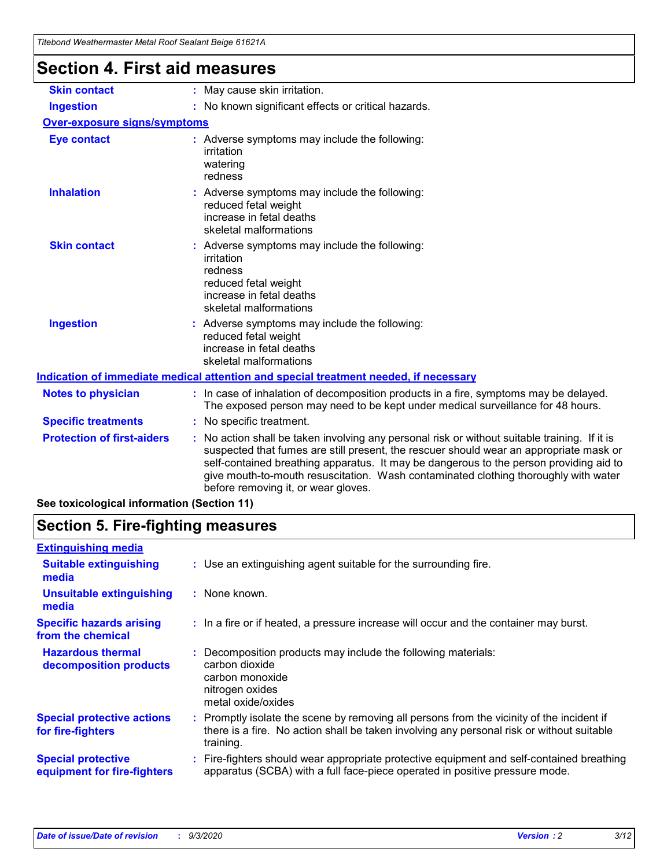| Titebond Weathermaster Metal Roof Sealant Beige 61621A |                                                                                                                                                                                                                                                                                                                                                                                                                 |  |
|--------------------------------------------------------|-----------------------------------------------------------------------------------------------------------------------------------------------------------------------------------------------------------------------------------------------------------------------------------------------------------------------------------------------------------------------------------------------------------------|--|
| <b>Section 4. First aid measures</b>                   |                                                                                                                                                                                                                                                                                                                                                                                                                 |  |
| <b>Skin contact</b>                                    | : May cause skin irritation.                                                                                                                                                                                                                                                                                                                                                                                    |  |
| <b>Ingestion</b>                                       | : No known significant effects or critical hazards.                                                                                                                                                                                                                                                                                                                                                             |  |
| <b>Over-exposure signs/symptoms</b>                    |                                                                                                                                                                                                                                                                                                                                                                                                                 |  |
| <b>Eye contact</b>                                     | : Adverse symptoms may include the following:<br>irritation<br>watering<br>redness                                                                                                                                                                                                                                                                                                                              |  |
| <b>Inhalation</b>                                      | : Adverse symptoms may include the following:<br>reduced fetal weight<br>increase in fetal deaths<br>skeletal malformations                                                                                                                                                                                                                                                                                     |  |
| <b>Skin contact</b>                                    | : Adverse symptoms may include the following:<br>irritation<br>redness<br>reduced fetal weight<br>increase in fetal deaths<br>skeletal malformations                                                                                                                                                                                                                                                            |  |
| <b>Ingestion</b>                                       | : Adverse symptoms may include the following:<br>reduced fetal weight<br>increase in fetal deaths<br>skeletal malformations                                                                                                                                                                                                                                                                                     |  |
|                                                        | Indication of immediate medical attention and special treatment needed, if necessary                                                                                                                                                                                                                                                                                                                            |  |
| <b>Notes to physician</b>                              | : In case of inhalation of decomposition products in a fire, symptoms may be delayed.<br>The exposed person may need to be kept under medical surveillance for 48 hours.                                                                                                                                                                                                                                        |  |
| <b>Specific treatments</b>                             | : No specific treatment.                                                                                                                                                                                                                                                                                                                                                                                        |  |
| <b>Protection of first-aiders</b>                      | : No action shall be taken involving any personal risk or without suitable training. If it is<br>suspected that fumes are still present, the rescuer should wear an appropriate mask or<br>self-contained breathing apparatus. It may be dangerous to the person providing aid to<br>give mouth-to-mouth resuscitation. Wash contaminated clothing thoroughly with water<br>before removing it, or wear gloves. |  |

**See toxicological information (Section 11)**

# **Section 5. Fire-fighting measures**

| <b>Extinguishing media</b>                               |                                                                                                                                                                                                     |
|----------------------------------------------------------|-----------------------------------------------------------------------------------------------------------------------------------------------------------------------------------------------------|
| <b>Suitable extinguishing</b><br>media                   | : Use an extinguishing agent suitable for the surrounding fire.                                                                                                                                     |
| <b>Unsuitable extinguishing</b><br>media                 | : None known.                                                                                                                                                                                       |
| <b>Specific hazards arising</b><br>from the chemical     | : In a fire or if heated, a pressure increase will occur and the container may burst.                                                                                                               |
| <b>Hazardous thermal</b><br>decomposition products       | : Decomposition products may include the following materials:<br>carbon dioxide<br>carbon monoxide<br>nitrogen oxides<br>metal oxide/oxides                                                         |
| <b>Special protective actions</b><br>for fire-fighters   | : Promptly isolate the scene by removing all persons from the vicinity of the incident if<br>there is a fire. No action shall be taken involving any personal risk or without suitable<br>training. |
| <b>Special protective</b><br>equipment for fire-fighters | Fire-fighters should wear appropriate protective equipment and self-contained breathing<br>apparatus (SCBA) with a full face-piece operated in positive pressure mode.                              |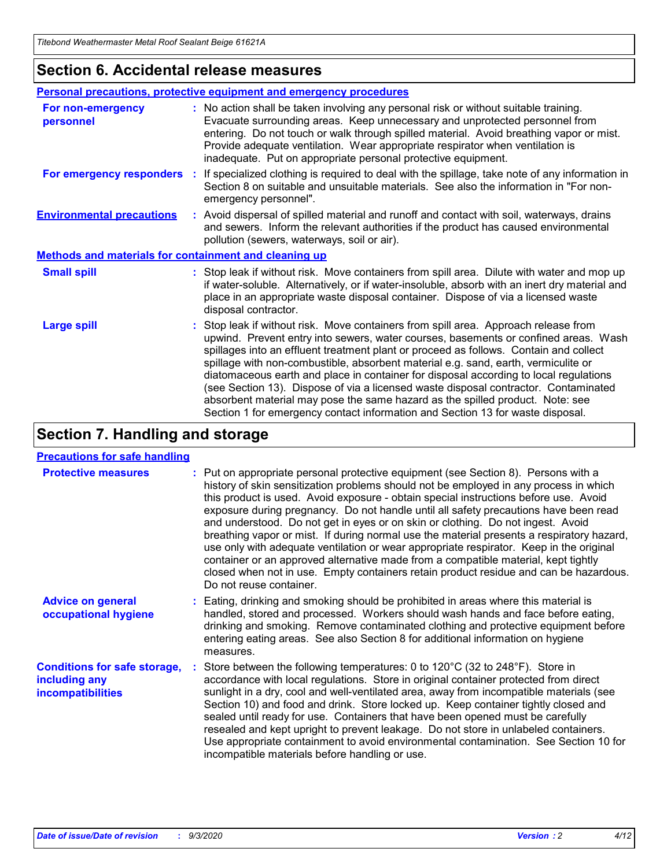### **Section 6. Accidental release measures**

|                                                       | Personal precautions, protective equipment and emergency procedures                                                                                                                                                                                                                                                                                                                                                                                                                                                                                                                                                                                                                                          |  |
|-------------------------------------------------------|--------------------------------------------------------------------------------------------------------------------------------------------------------------------------------------------------------------------------------------------------------------------------------------------------------------------------------------------------------------------------------------------------------------------------------------------------------------------------------------------------------------------------------------------------------------------------------------------------------------------------------------------------------------------------------------------------------------|--|
| For non-emergency<br>personnel                        | : No action shall be taken involving any personal risk or without suitable training.<br>Evacuate surrounding areas. Keep unnecessary and unprotected personnel from<br>entering. Do not touch or walk through spilled material. Avoid breathing vapor or mist.<br>Provide adequate ventilation. Wear appropriate respirator when ventilation is<br>inadequate. Put on appropriate personal protective equipment.                                                                                                                                                                                                                                                                                             |  |
| For emergency responders                              | If specialized clothing is required to deal with the spillage, take note of any information in<br>÷.<br>Section 8 on suitable and unsuitable materials. See also the information in "For non-<br>emergency personnel".                                                                                                                                                                                                                                                                                                                                                                                                                                                                                       |  |
| <b>Environmental precautions</b>                      | : Avoid dispersal of spilled material and runoff and contact with soil, waterways, drains<br>and sewers. Inform the relevant authorities if the product has caused environmental<br>pollution (sewers, waterways, soil or air).                                                                                                                                                                                                                                                                                                                                                                                                                                                                              |  |
| Methods and materials for containment and cleaning up |                                                                                                                                                                                                                                                                                                                                                                                                                                                                                                                                                                                                                                                                                                              |  |
| <b>Small spill</b>                                    | : Stop leak if without risk. Move containers from spill area. Dilute with water and mop up<br>if water-soluble. Alternatively, or if water-insoluble, absorb with an inert dry material and<br>place in an appropriate waste disposal container. Dispose of via a licensed waste<br>disposal contractor.                                                                                                                                                                                                                                                                                                                                                                                                     |  |
| <b>Large spill</b>                                    | : Stop leak if without risk. Move containers from spill area. Approach release from<br>upwind. Prevent entry into sewers, water courses, basements or confined areas. Wash<br>spillages into an effluent treatment plant or proceed as follows. Contain and collect<br>spillage with non-combustible, absorbent material e.g. sand, earth, vermiculite or<br>diatomaceous earth and place in container for disposal according to local regulations<br>(see Section 13). Dispose of via a licensed waste disposal contractor. Contaminated<br>absorbent material may pose the same hazard as the spilled product. Note: see<br>Section 1 for emergency contact information and Section 13 for waste disposal. |  |

# **Section 7. Handling and storage**

#### **Precautions for safe handling**

| <b>Protective measures</b>                                                       | : Put on appropriate personal protective equipment (see Section 8). Persons with a<br>history of skin sensitization problems should not be employed in any process in which<br>this product is used. Avoid exposure - obtain special instructions before use. Avoid<br>exposure during pregnancy. Do not handle until all safety precautions have been read<br>and understood. Do not get in eyes or on skin or clothing. Do not ingest. Avoid<br>breathing vapor or mist. If during normal use the material presents a respiratory hazard,<br>use only with adequate ventilation or wear appropriate respirator. Keep in the original<br>container or an approved alternative made from a compatible material, kept tightly<br>closed when not in use. Empty containers retain product residue and can be hazardous.<br>Do not reuse container. |
|----------------------------------------------------------------------------------|--------------------------------------------------------------------------------------------------------------------------------------------------------------------------------------------------------------------------------------------------------------------------------------------------------------------------------------------------------------------------------------------------------------------------------------------------------------------------------------------------------------------------------------------------------------------------------------------------------------------------------------------------------------------------------------------------------------------------------------------------------------------------------------------------------------------------------------------------|
| <b>Advice on general</b><br>occupational hygiene                                 | : Eating, drinking and smoking should be prohibited in areas where this material is<br>handled, stored and processed. Workers should wash hands and face before eating,<br>drinking and smoking. Remove contaminated clothing and protective equipment before<br>entering eating areas. See also Section 8 for additional information on hygiene<br>measures.                                                                                                                                                                                                                                                                                                                                                                                                                                                                                    |
| <b>Conditions for safe storage,</b><br>including any<br><i>incompatibilities</i> | Store between the following temperatures: 0 to $120^{\circ}$ C (32 to $248^{\circ}$ F). Store in<br>accordance with local regulations. Store in original container protected from direct<br>sunlight in a dry, cool and well-ventilated area, away from incompatible materials (see<br>Section 10) and food and drink. Store locked up. Keep container tightly closed and<br>sealed until ready for use. Containers that have been opened must be carefully<br>resealed and kept upright to prevent leakage. Do not store in unlabeled containers.<br>Use appropriate containment to avoid environmental contamination. See Section 10 for<br>incompatible materials before handling or use.                                                                                                                                                     |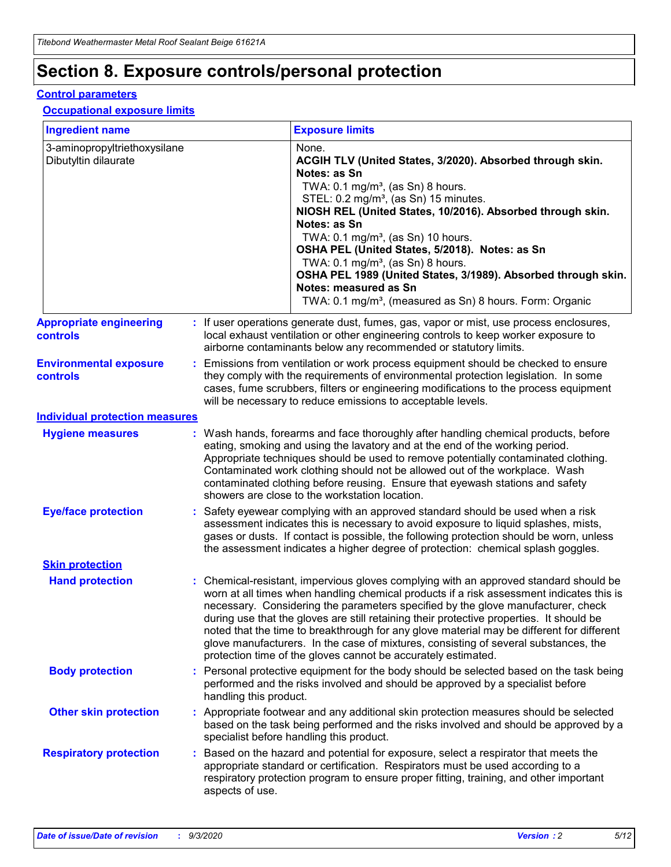# **Section 8. Exposure controls/personal protection**

#### **Control parameters**

#### **Occupational exposure limits**

| <b>Ingredient name</b>                               |    |                        | <b>Exposure limits</b>                                                                                                                                                                                                                                                                                                                                                                                                                                                                                                                                                                                                 |
|------------------------------------------------------|----|------------------------|------------------------------------------------------------------------------------------------------------------------------------------------------------------------------------------------------------------------------------------------------------------------------------------------------------------------------------------------------------------------------------------------------------------------------------------------------------------------------------------------------------------------------------------------------------------------------------------------------------------------|
| 3-aminopropyltriethoxysilane<br>Dibutyltin dilaurate |    |                        | None.<br>ACGIH TLV (United States, 3/2020). Absorbed through skin.<br>Notes: as Sn<br>TWA: $0.1 \text{ mg/m}^3$ , (as Sn) 8 hours.<br>STEL: 0.2 mg/m <sup>3</sup> , (as Sn) 15 minutes.<br>NIOSH REL (United States, 10/2016). Absorbed through skin.<br>Notes: as Sn<br>TWA: 0.1 mg/m <sup>3</sup> , (as Sn) 10 hours.<br>OSHA PEL (United States, 5/2018). Notes: as Sn<br>TWA: $0.1 \text{ mg/m}^3$ , (as Sn) 8 hours.<br>OSHA PEL 1989 (United States, 3/1989). Absorbed through skin.<br>Notes: measured as Sn<br>TWA: 0.1 mg/m <sup>3</sup> , (measured as Sn) 8 hours. Form: Organic                            |
| <b>Appropriate engineering</b><br>controls           |    |                        | : If user operations generate dust, fumes, gas, vapor or mist, use process enclosures,<br>local exhaust ventilation or other engineering controls to keep worker exposure to<br>airborne contaminants below any recommended or statutory limits.                                                                                                                                                                                                                                                                                                                                                                       |
| <b>Environmental exposure</b><br>controls            |    |                        | Emissions from ventilation or work process equipment should be checked to ensure<br>they comply with the requirements of environmental protection legislation. In some<br>cases, fume scrubbers, filters or engineering modifications to the process equipment<br>will be necessary to reduce emissions to acceptable levels.                                                                                                                                                                                                                                                                                          |
| <b>Individual protection measures</b>                |    |                        |                                                                                                                                                                                                                                                                                                                                                                                                                                                                                                                                                                                                                        |
| <b>Hygiene measures</b>                              |    |                        | : Wash hands, forearms and face thoroughly after handling chemical products, before<br>eating, smoking and using the lavatory and at the end of the working period.<br>Appropriate techniques should be used to remove potentially contaminated clothing.<br>Contaminated work clothing should not be allowed out of the workplace. Wash<br>contaminated clothing before reusing. Ensure that eyewash stations and safety<br>showers are close to the workstation location.                                                                                                                                            |
| <b>Eye/face protection</b>                           |    |                        | : Safety eyewear complying with an approved standard should be used when a risk<br>assessment indicates this is necessary to avoid exposure to liquid splashes, mists,<br>gases or dusts. If contact is possible, the following protection should be worn, unless<br>the assessment indicates a higher degree of protection: chemical splash goggles.                                                                                                                                                                                                                                                                  |
| <b>Skin protection</b>                               |    |                        |                                                                                                                                                                                                                                                                                                                                                                                                                                                                                                                                                                                                                        |
| <b>Hand protection</b>                               |    |                        | : Chemical-resistant, impervious gloves complying with an approved standard should be<br>worn at all times when handling chemical products if a risk assessment indicates this is<br>necessary. Considering the parameters specified by the glove manufacturer, check<br>during use that the gloves are still retaining their protective properties. It should be<br>noted that the time to breakthrough for any glove material may be different for different<br>glove manufacturers. In the case of mixtures, consisting of several substances, the<br>protection time of the gloves cannot be accurately estimated. |
| <b>Body protection</b>                               |    | handling this product. | Personal protective equipment for the body should be selected based on the task being<br>performed and the risks involved and should be approved by a specialist before                                                                                                                                                                                                                                                                                                                                                                                                                                                |
| <b>Other skin protection</b>                         |    |                        | : Appropriate footwear and any additional skin protection measures should be selected<br>based on the task being performed and the risks involved and should be approved by a<br>specialist before handling this product.                                                                                                                                                                                                                                                                                                                                                                                              |
| <b>Respiratory protection</b>                        | ÷. | aspects of use.        | Based on the hazard and potential for exposure, select a respirator that meets the<br>appropriate standard or certification. Respirators must be used according to a<br>respiratory protection program to ensure proper fitting, training, and other important                                                                                                                                                                                                                                                                                                                                                         |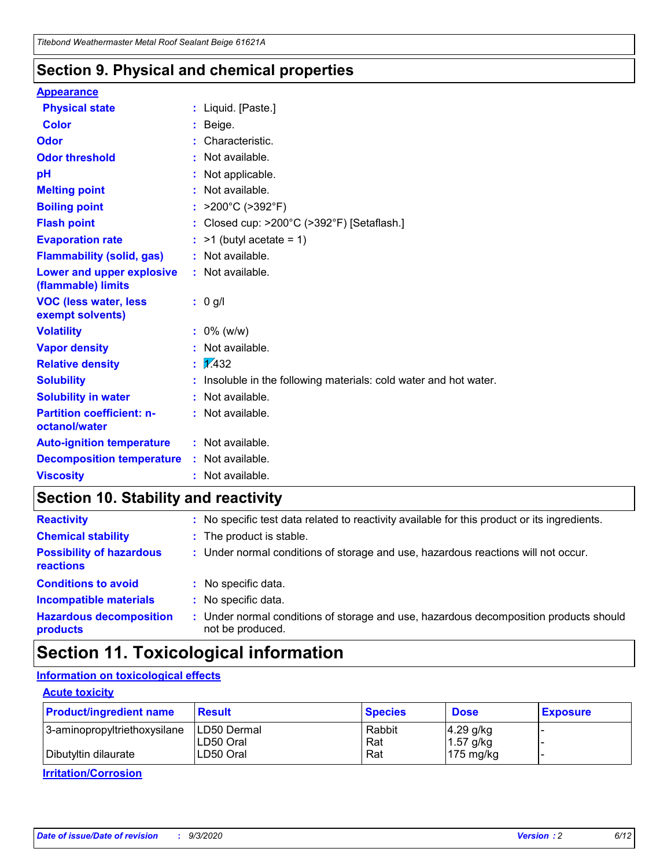### **Section 9. Physical and chemical properties**

#### **Appearance**

| <b>Physical state</b>                             | : Liquid. [Paste.]                                              |
|---------------------------------------------------|-----------------------------------------------------------------|
| <b>Color</b>                                      | Beige.                                                          |
| Odor                                              | Characteristic.                                                 |
| <b>Odor threshold</b>                             | Not available.                                                  |
| рH                                                | Not applicable.                                                 |
| <b>Melting point</b>                              | : Not available.                                                |
| <b>Boiling point</b>                              | >200°C (>392°F)                                                 |
| <b>Flash point</b>                                | Closed cup: >200°C (>392°F) [Setaflash.]                        |
| <b>Evaporation rate</b>                           | $:$ >1 (butyl acetate = 1)                                      |
| <b>Flammability (solid, gas)</b>                  | : Not available.                                                |
| Lower and upper explosive<br>(flammable) limits   | : Not available.                                                |
| <b>VOC (less water, less)</b><br>exempt solvents) | : 0 g/l                                                         |
| <b>Volatility</b>                                 | $: 0\%$ (w/w)                                                   |
| <b>Vapor density</b>                              | Not available.                                                  |
| <b>Relative density</b>                           | $\mathbf{1}$ $\mathbf{\sqrt{432}}$                              |
| <b>Solubility</b>                                 | Insoluble in the following materials: cold water and hot water. |
| <b>Solubility in water</b>                        | Not available.                                                  |
| <b>Partition coefficient: n-</b><br>octanol/water | $:$ Not available.                                              |
| <b>Auto-ignition temperature</b>                  | : Not available.                                                |
| <b>Decomposition temperature</b>                  | : Not available.                                                |
| <b>Viscosity</b>                                  | $:$ Not available.                                              |

### **Section 10. Stability and reactivity**

| <b>Reactivity</b>                            |    | : No specific test data related to reactivity available for this product or its ingredients.            |
|----------------------------------------------|----|---------------------------------------------------------------------------------------------------------|
| <b>Chemical stability</b>                    |    | : The product is stable.                                                                                |
| <b>Possibility of hazardous</b><br>reactions |    | : Under normal conditions of storage and use, hazardous reactions will not occur.                       |
| <b>Conditions to avoid</b>                   |    | : No specific data.                                                                                     |
| <b>Incompatible materials</b>                | ٠. | No specific data.                                                                                       |
| <b>Hazardous decomposition</b><br>products   | ÷. | Under normal conditions of storage and use, hazardous decomposition products should<br>not be produced. |

# **Section 11. Toxicological information**

#### **Information on toxicological effects**

#### **Acute toxicity**

| <b>Product/ingredient name</b> | <b>Result</b>           | <b>Species</b> | <b>Dose</b>                | <b>Exposure</b> |
|--------------------------------|-------------------------|----------------|----------------------------|-----------------|
| 3-aminopropyltriethoxysilane   | <b>ILD50 Dermal</b>     | Rabbit         | 4.29 g/kg                  |                 |
| Dibutyltin dilaurate           | ILD50 Oral<br>LD50 Oral | Rat<br>Rat     | $1.57$ g/kg<br>175 $mg/kg$ |                 |
|                                |                         |                |                            |                 |

**Irritation/Corrosion**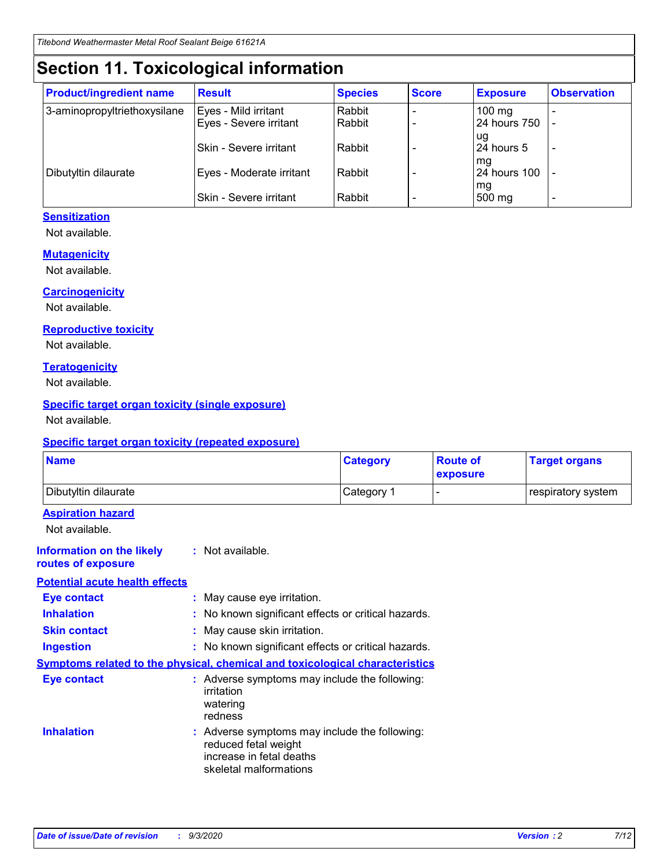# **Section 11. Toxicological information**

| <b>Product/ingredient name</b> | <b>Result</b>                 | <b>Species</b> | <b>Score</b> | <b>Exposure</b>    | <b>Observation</b>       |
|--------------------------------|-------------------------------|----------------|--------------|--------------------|--------------------------|
| 3-aminopropyltriethoxysilane   | Eyes - Mild irritant          | Rabbit         |              | $100 \text{ mg}$   |                          |
|                                | Eyes - Severe irritant        | Rabbit         |              | 24 hours 750       |                          |
|                                |                               |                |              | ug                 |                          |
|                                | <b>Skin - Severe irritant</b> | Rabbit         |              | 24 hours 5         | $\overline{\phantom{0}}$ |
| Dibutyltin dilaurate           | Eyes - Moderate irritant      | Rabbit         |              | mg<br>24 hours 100 |                          |
|                                |                               |                |              | mg                 |                          |
|                                | Skin - Severe irritant        | Rabbit         |              | 500 mg             | -                        |

#### **Sensitization**

Not available.

#### **Mutagenicity**

Not available.

#### **Carcinogenicity**

Not available.

#### **Reproductive toxicity**

Not available.

#### **Teratogenicity**

Not available.

#### **Specific target organ toxicity (single exposure)**

Not available.

#### **Specific target organ toxicity (repeated exposure)**

| <b>Name</b>                                                                         |                                                                            | <b>Category</b>                                     | <b>Route of</b><br>exposure | <b>Target organs</b> |  |  |
|-------------------------------------------------------------------------------------|----------------------------------------------------------------------------|-----------------------------------------------------|-----------------------------|----------------------|--|--|
| Dibutyltin dilaurate                                                                |                                                                            | Category 1                                          | -                           | respiratory system   |  |  |
| <b>Aspiration hazard</b><br>Not available.                                          |                                                                            |                                                     |                             |                      |  |  |
| <b>Information on the likely</b><br>routes of exposure                              | : Not available.                                                           |                                                     |                             |                      |  |  |
| <b>Potential acute health effects</b>                                               |                                                                            |                                                     |                             |                      |  |  |
| <b>Eye contact</b>                                                                  | : May cause eye irritation.                                                |                                                     |                             |                      |  |  |
| <b>Inhalation</b>                                                                   |                                                                            | : No known significant effects or critical hazards. |                             |                      |  |  |
| <b>Skin contact</b>                                                                 |                                                                            | : May cause skin irritation.                        |                             |                      |  |  |
| <b>Ingestion</b>                                                                    |                                                                            | : No known significant effects or critical hazards. |                             |                      |  |  |
| <b>Symptoms related to the physical, chemical and toxicological characteristics</b> |                                                                            |                                                     |                             |                      |  |  |
| <b>Eye contact</b>                                                                  | irritation<br>watering<br>redness                                          | : Adverse symptoms may include the following:       |                             |                      |  |  |
| <b>Inhalation</b>                                                                   | reduced fetal weight<br>increase in fetal deaths<br>skeletal malformations | : Adverse symptoms may include the following:       |                             |                      |  |  |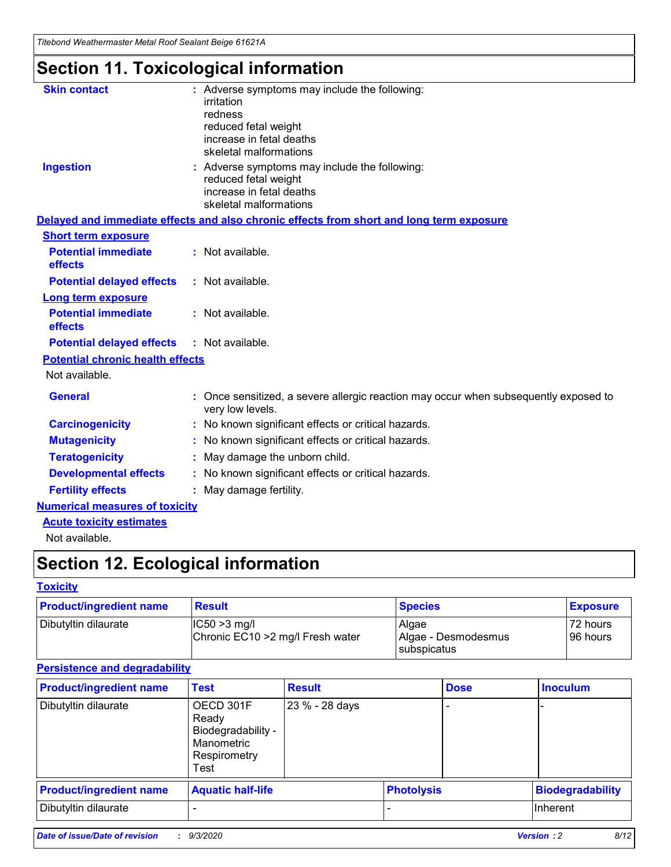*Titebond Weathermaster Metal Roof Sealant Beige 61621A*

# **Section 11. Toxicological information**

| <b>Skin contact</b>                          | : Adverse symptoms may include the following:<br>irritation                                            |
|----------------------------------------------|--------------------------------------------------------------------------------------------------------|
|                                              | redness                                                                                                |
|                                              | reduced fetal weight                                                                                   |
|                                              | increase in fetal deaths                                                                               |
|                                              | skeletal malformations                                                                                 |
| <b>Ingestion</b>                             | : Adverse symptoms may include the following:<br>reduced fetal weight                                  |
|                                              | increase in fetal deaths                                                                               |
|                                              | skeletal malformations                                                                                 |
|                                              | Delayed and immediate effects and also chronic effects from short and long term exposure               |
| <b>Short term exposure</b>                   |                                                                                                        |
| <b>Potential immediate</b><br>effects        | : Not available.                                                                                       |
| <b>Potential delayed effects</b>             | : Not available.                                                                                       |
| <b>Long term exposure</b>                    |                                                                                                        |
| <b>Potential immediate</b><br><b>effects</b> | : Not available.                                                                                       |
| <b>Potential delayed effects</b>             | : Not available.                                                                                       |
| <b>Potential chronic health effects</b>      |                                                                                                        |
| Not available.                               |                                                                                                        |
| <b>General</b>                               | Once sensitized, a severe allergic reaction may occur when subsequently exposed to<br>very low levels. |
| <b>Carcinogenicity</b>                       | No known significant effects or critical hazards.                                                      |
| <b>Mutagenicity</b>                          | : No known significant effects or critical hazards.                                                    |
| <b>Teratogenicity</b>                        | May damage the unborn child.                                                                           |
| <b>Developmental effects</b>                 | : No known significant effects or critical hazards.                                                    |
| <b>Fertility effects</b>                     | : May damage fertility.                                                                                |
| <b>Numerical measures of toxicity</b>        |                                                                                                        |
| <b>Acute toxicity estimates</b>              |                                                                                                        |
| Not ovoilable                                |                                                                                                        |

Not available.

# **Section 12. Ecological information**

#### **Toxicity**

| <b>Product/ingredient name</b> | <b>Result</b>                                       | <b>Species</b>               | <b>Exposure</b>       |
|--------------------------------|-----------------------------------------------------|------------------------------|-----------------------|
| Dibutyltin dilaurate           | $ CC50>3$ mg/l<br>Chronic EC10 > 2 mg/l Fresh water | Algae<br>Algae - Desmodesmus | 72 hours<br>196 hours |
|                                |                                                     | <b>I</b> subspicatus         |                       |

#### **Persistence and degradability**

| <b>Product/ingredient name</b> | <b>Test</b>                                                                    | <b>Result</b>  |                   | <b>Dose</b> | <b>Inoculum</b>         |
|--------------------------------|--------------------------------------------------------------------------------|----------------|-------------------|-------------|-------------------------|
| Dibutyltin dilaurate           | OECD 301F<br>Ready<br>Biodegradability -<br>Manometric<br>Respirometry<br>Test | 23 % - 28 days |                   |             |                         |
| <b>Product/ingredient name</b> | <b>Aquatic half-life</b>                                                       |                | <b>Photolysis</b> |             | <b>Biodegradability</b> |
| Dibutyltin dilaurate           |                                                                                |                |                   |             | <b>Inherent</b>         |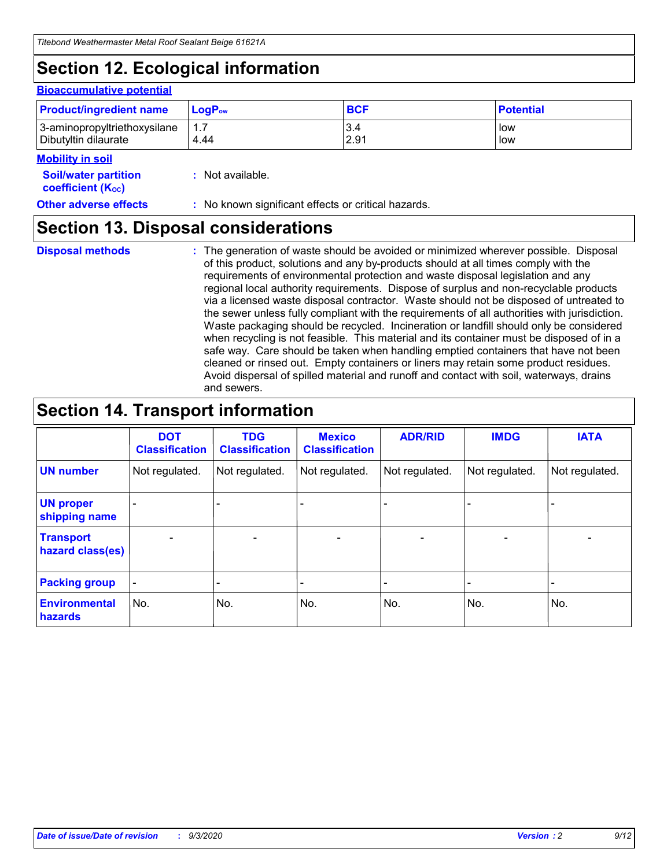# **Section 12. Ecological information**

#### **Bioaccumulative potential**

| <b>Product/ingredient name</b> | $\mathsf{LogP}_\mathsf{ow}$ | <b>BCF</b> | <b>Potential</b> |
|--------------------------------|-----------------------------|------------|------------------|
| 3-aminopropyltriethoxysilane   | $1.\overline{7}$            | 3.4        | low              |
| Dibutyltin dilaurate           | 4.44                        | 2.91       | low              |

#### **Mobility in soil**

| <b>Soil/water partition</b> | : Not available. |
|-----------------------------|------------------|
| <b>coefficient (Koc)</b>    |                  |

#### **Other adverse effects** : No known significant effects or critical hazards.

### **Section 13. Disposal considerations**

**Disposal methods :**

The generation of waste should be avoided or minimized wherever possible. Disposal of this product, solutions and any by-products should at all times comply with the requirements of environmental protection and waste disposal legislation and any regional local authority requirements. Dispose of surplus and non-recyclable products via a licensed waste disposal contractor. Waste should not be disposed of untreated to the sewer unless fully compliant with the requirements of all authorities with jurisdiction. Waste packaging should be recycled. Incineration or landfill should only be considered when recycling is not feasible. This material and its container must be disposed of in a safe way. Care should be taken when handling emptied containers that have not been cleaned or rinsed out. Empty containers or liners may retain some product residues. Avoid dispersal of spilled material and runoff and contact with soil, waterways, drains and sewers.

### **Section 14. Transport information**

|                                      | <b>DOT</b><br><b>Classification</b> | <b>TDG</b><br><b>Classification</b> | <b>Mexico</b><br><b>Classification</b> | <b>ADR/RID</b>           | <b>IMDG</b>              | <b>IATA</b>    |
|--------------------------------------|-------------------------------------|-------------------------------------|----------------------------------------|--------------------------|--------------------------|----------------|
| <b>UN number</b>                     | Not regulated.                      | Not regulated.                      | Not regulated.                         | Not regulated.           | Not regulated.           | Not regulated. |
| <b>UN proper</b><br>shipping name    |                                     |                                     |                                        |                          |                          |                |
| <b>Transport</b><br>hazard class(es) |                                     | $\overline{\phantom{0}}$            | $\qquad \qquad \blacksquare$           | $\overline{\phantom{0}}$ | $\overline{\phantom{0}}$ |                |
| <b>Packing group</b>                 |                                     |                                     |                                        |                          |                          |                |
| <b>Environmental</b><br>hazards      | No.                                 | No.                                 | No.                                    | No.                      | No.                      | No.            |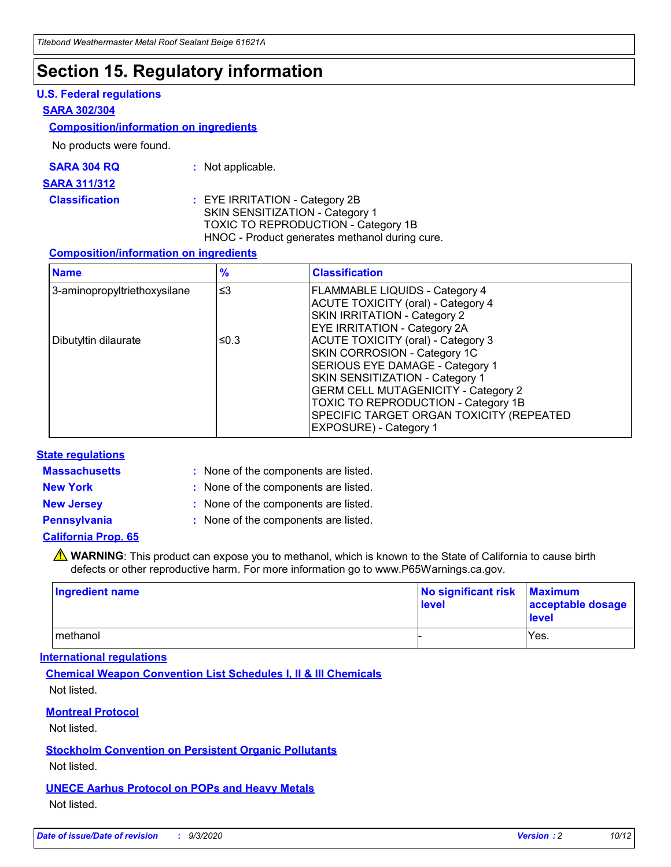# **Section 15. Regulatory information**

#### **U.S. Federal regulations**

#### **SARA 302/304**

#### **Composition/information on ingredients**

No products were found.

| SARA 304 RQ | Not applicable. |
|-------------|-----------------|
|-------------|-----------------|

#### **SARA 311/312**

**Classification :** EYE IRRITATION - Category 2B SKIN SENSITIZATION - Category 1 TOXIC TO REPRODUCTION - Category 1B HNOC - Product generates methanol during cure.

#### **Composition/information on ingredients**

| <b>Name</b>                  | $\frac{9}{6}$ | <b>Classification</b>                                                                                                                                                                                                                                                                                      |
|------------------------------|---------------|------------------------------------------------------------------------------------------------------------------------------------------------------------------------------------------------------------------------------------------------------------------------------------------------------------|
| 3-aminopropyltriethoxysilane | $\leq$ 3      | <b>FLAMMABLE LIQUIDS - Category 4</b><br><b>ACUTE TOXICITY (oral) - Category 4</b><br><b>SKIN IRRITATION - Category 2</b><br>EYE IRRITATION - Category 2A                                                                                                                                                  |
| Dibutyltin dilaurate         | ≤0.3          | <b>ACUTE TOXICITY (oral) - Category 3</b><br>SKIN CORROSION - Category 1C<br>SERIOUS EYE DAMAGE - Category 1<br>SKIN SENSITIZATION - Category 1<br><b>GERM CELL MUTAGENICITY - Category 2</b><br>TOXIC TO REPRODUCTION - Category 1B<br>SPECIFIC TARGET ORGAN TOXICITY (REPEATED<br>EXPOSURE) - Category 1 |

#### **State regulations**

**Massachusetts :**

: None of the components are listed.

**New York :** None of the components are listed. **New Jersey :** None of the components are listed.

**Pennsylvania :** None of the components are listed.

#### **California Prop. 65**

WARNING: This product can expose you to methanol, which is known to the State of California to cause birth defects or other reproductive harm. For more information go to www.P65Warnings.ca.gov.

| Ingredient name | No significant risk Maximum<br>level | acceptable dosage<br><b>level</b> |
|-----------------|--------------------------------------|-----------------------------------|
| I methanol      |                                      | Yes.                              |

#### **International regulations**

**Chemical Weapon Convention List Schedules I, II & III Chemicals** Not listed.

#### **Montreal Protocol**

Not listed.

**Stockholm Convention on Persistent Organic Pollutants**

Not listed.

#### **UNECE Aarhus Protocol on POPs and Heavy Metals** Not listed.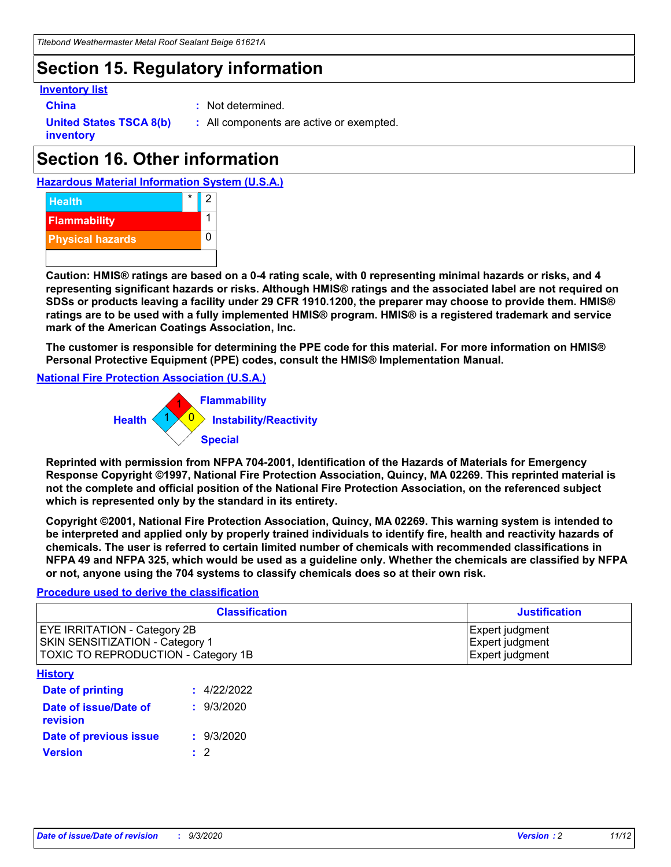# **Section 15. Regulatory information**

#### **Inventory list**

- 
- **China :** Not determined.

**United States TSCA 8(b) inventory**

**:** All components are active or exempted.

# **Section 16. Other information**

**Hazardous Material Information System (U.S.A.)**



**Caution: HMIS® ratings are based on a 0-4 rating scale, with 0 representing minimal hazards or risks, and 4 representing significant hazards or risks. Although HMIS® ratings and the associated label are not required on SDSs or products leaving a facility under 29 CFR 1910.1200, the preparer may choose to provide them. HMIS® ratings are to be used with a fully implemented HMIS® program. HMIS® is a registered trademark and service mark of the American Coatings Association, Inc.**

**The customer is responsible for determining the PPE code for this material. For more information on HMIS® Personal Protective Equipment (PPE) codes, consult the HMIS® Implementation Manual.**

**National Fire Protection Association (U.S.A.)**



**Reprinted with permission from NFPA 704-2001, Identification of the Hazards of Materials for Emergency Response Copyright ©1997, National Fire Protection Association, Quincy, MA 02269. This reprinted material is not the complete and official position of the National Fire Protection Association, on the referenced subject which is represented only by the standard in its entirety.**

**Copyright ©2001, National Fire Protection Association, Quincy, MA 02269. This warning system is intended to be interpreted and applied only by properly trained individuals to identify fire, health and reactivity hazards of chemicals. The user is referred to certain limited number of chemicals with recommended classifications in NFPA 49 and NFPA 325, which would be used as a guideline only. Whether the chemicals are classified by NFPA or not, anyone using the 704 systems to classify chemicals does so at their own risk.**

#### **Procedure used to derive the classification**

| <b>Classification</b>                                                                                         | <b>Justification</b>                                  |
|---------------------------------------------------------------------------------------------------------------|-------------------------------------------------------|
| <b>EYE IRRITATION - Category 2B</b><br>SKIN SENSITIZATION - Category 1<br>TOXIC TO REPRODUCTION - Category 1B | Expert judgment<br>Expert judgment<br>Expert judgment |
| <b>History</b>                                                                                                |                                                       |

| .                                 |             |
|-----------------------------------|-------------|
| <b>Date of printing</b>           | : 4/22/2022 |
| Date of issue/Date of<br>revision | : 9/3/2020  |
| Date of previous issue            | : 9/3/2020  |
| <b>Version</b>                    | $\cdot$ 2   |
|                                   |             |